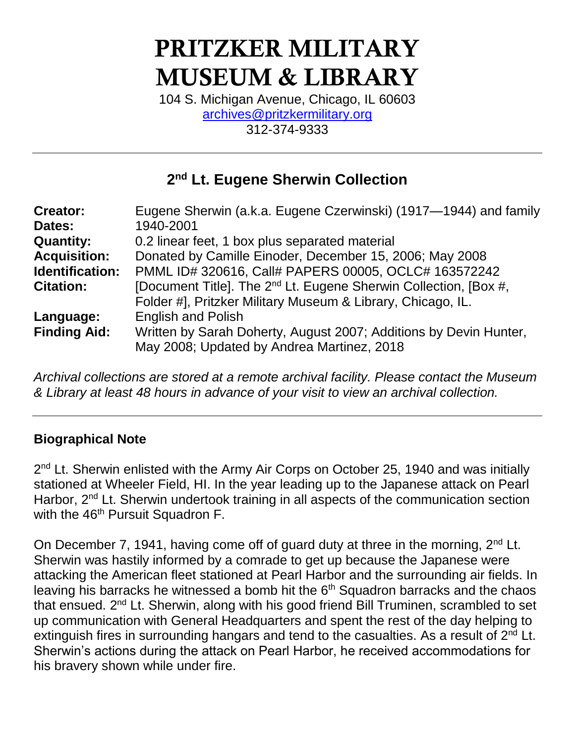# PRITZKER MILITARY MUSEUM & LIBRARY

104 S. Michigan Avenue, Chicago, IL 60603 [archives@pritzkermilitary.org](mailto:archives@pritzkermilitary.org) 312-374-9333

### **2 nd Lt. Eugene Sherwin Collection**

| <b>Creator:</b>        | Eugene Sherwin (a.k.a. Eugene Czerwinski) (1917-1944) and family             |
|------------------------|------------------------------------------------------------------------------|
| Dates:                 | 1940-2001                                                                    |
| <b>Quantity:</b>       | 0.2 linear feet, 1 box plus separated material                               |
| <b>Acquisition:</b>    | Donated by Camille Einoder, December 15, 2006; May 2008                      |
| <b>Identification:</b> | PMML ID# 320616, Call# PAPERS 00005, OCLC# 163572242                         |
| <b>Citation:</b>       | [Document Title]. The 2 <sup>nd</sup> Lt. Eugene Sherwin Collection, [Box #, |
|                        | Folder #], Pritzker Military Museum & Library, Chicago, IL.                  |
| Language:              | <b>English and Polish</b>                                                    |
| <b>Finding Aid:</b>    | Written by Sarah Doherty, August 2007; Additions by Devin Hunter,            |
|                        | May 2008; Updated by Andrea Martinez, 2018                                   |
|                        |                                                                              |

*Archival collections are stored at a remote archival facility. Please contact the Museum & Library at least 48 hours in advance of your visit to view an archival collection.*

### **Biographical Note**

2<sup>nd</sup> Lt. Sherwin enlisted with the Army Air Corps on October 25, 1940 and was initially stationed at Wheeler Field, HI. In the year leading up to the Japanese attack on Pearl Harbor, 2<sup>nd</sup> Lt. Sherwin undertook training in all aspects of the communication section with the 46<sup>th</sup> Pursuit Squadron F.

On December 7, 1941, having come off of guard duty at three in the morning, 2<sup>nd</sup> Lt. Sherwin was hastily informed by a comrade to get up because the Japanese were attacking the American fleet stationed at Pearl Harbor and the surrounding air fields. In leaving his barracks he witnessed a bomb hit the  $6<sup>th</sup>$  Squadron barracks and the chaos that ensued. 2<sup>nd</sup> Lt. Sherwin, along with his good friend Bill Truminen, scrambled to set up communication with General Headquarters and spent the rest of the day helping to extinguish fires in surrounding hangars and tend to the casualties. As a result of  $2<sup>nd</sup>$  Lt. Sherwin's actions during the attack on Pearl Harbor, he received accommodations for his bravery shown while under fire.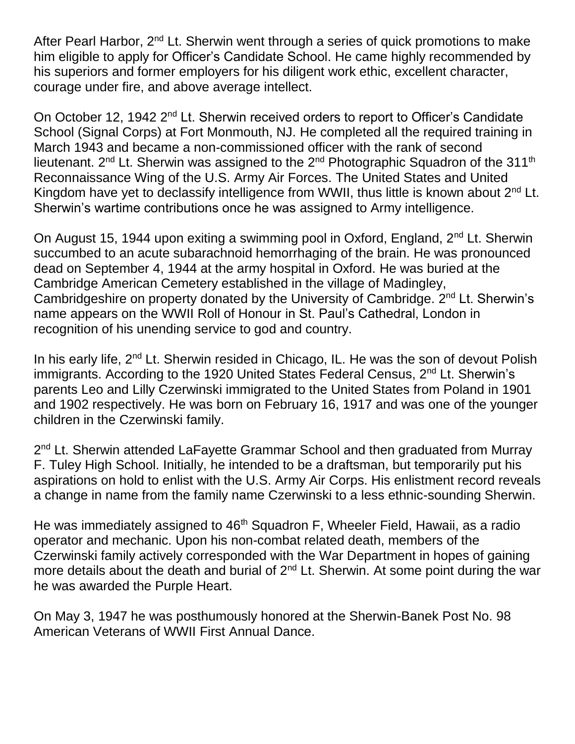After Pearl Harbor,  $2^{nd}$  Lt. Sherwin went through a series of quick promotions to make him eligible to apply for Officer's Candidate School. He came highly recommended by his superiors and former employers for his diligent work ethic, excellent character, courage under fire, and above average intellect.

On October 12, 1942 2<sup>nd</sup> Lt. Sherwin received orders to report to Officer's Candidate School (Signal Corps) at Fort Monmouth, NJ. He completed all the required training in March 1943 and became a non-commissioned officer with the rank of second lieutenant. 2<sup>nd</sup> Lt. Sherwin was assigned to the 2<sup>nd</sup> Photographic Squadron of the 311<sup>th</sup> Reconnaissance Wing of the U.S. Army Air Forces. The United States and United Kingdom have yet to declassify intelligence from WWII, thus little is known about 2<sup>nd</sup> Lt. Sherwin's wartime contributions once he was assigned to Army intelligence.

On August 15, 1944 upon exiting a swimming pool in Oxford, England, 2<sup>nd</sup> Lt. Sherwin succumbed to an acute subarachnoid hemorrhaging of the brain. He was pronounced dead on September 4, 1944 at the army hospital in Oxford. He was buried at the Cambridge American Cemetery established in the village of Madingley, Cambridgeshire on property donated by the University of Cambridge. 2<sup>nd</sup> Lt. Sherwin's name appears on the WWII Roll of Honour in St. Paul's Cathedral, London in recognition of his unending service to god and country.

In his early life, 2<sup>nd</sup> Lt. Sherwin resided in Chicago, IL. He was the son of devout Polish immigrants. According to the 1920 United States Federal Census, 2<sup>nd</sup> Lt. Sherwin's parents Leo and Lilly Czerwinski immigrated to the United States from Poland in 1901 and 1902 respectively. He was born on February 16, 1917 and was one of the younger children in the Czerwinski family.

2<sup>nd</sup> Lt. Sherwin attended LaFayette Grammar School and then graduated from Murray F. Tuley High School. Initially, he intended to be a draftsman, but temporarily put his aspirations on hold to enlist with the U.S. Army Air Corps. His enlistment record reveals a change in name from the family name Czerwinski to a less ethnic-sounding Sherwin.

He was immediately assigned to 46<sup>th</sup> Squadron F, Wheeler Field, Hawaii, as a radio operator and mechanic. Upon his non-combat related death, members of the Czerwinski family actively corresponded with the War Department in hopes of gaining more details about the death and burial of 2<sup>nd</sup> Lt. Sherwin. At some point during the war he was awarded the Purple Heart.

On May 3, 1947 he was posthumously honored at the Sherwin-Banek Post No. 98 American Veterans of WWII First Annual Dance.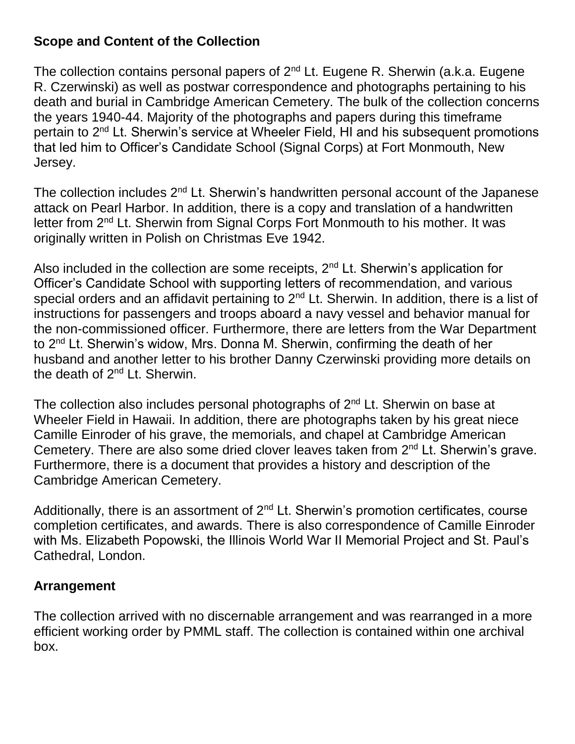### **Scope and Content of the Collection**

The collection contains personal papers of 2<sup>nd</sup> Lt. Eugene R. Sherwin (a.k.a. Eugene R. Czerwinski) as well as postwar correspondence and photographs pertaining to his death and burial in Cambridge American Cemetery. The bulk of the collection concerns the years 1940-44. Majority of the photographs and papers during this timeframe pertain to 2nd Lt. Sherwin's service at Wheeler Field, HI and his subsequent promotions that led him to Officer's Candidate School (Signal Corps) at Fort Monmouth, New Jersey.

The collection includes  $2<sup>nd</sup>$  Lt. Sherwin's handwritten personal account of the Japanese attack on Pearl Harbor. In addition, there is a copy and translation of a handwritten letter from 2<sup>nd</sup> Lt. Sherwin from Signal Corps Fort Monmouth to his mother. It was originally written in Polish on Christmas Eve 1942.

Also included in the collection are some receipts,  $2<sup>nd</sup>$  Lt. Sherwin's application for Officer's Candidate School with supporting letters of recommendation, and various special orders and an affidavit pertaining to  $2<sup>nd</sup>$  Lt. Sherwin. In addition, there is a list of instructions for passengers and troops aboard a navy vessel and behavior manual for the non-commissioned officer. Furthermore, there are letters from the War Department to 2nd Lt. Sherwin's widow, Mrs. Donna M. Sherwin, confirming the death of her husband and another letter to his brother Danny Czerwinski providing more details on the death of 2nd Lt. Sherwin.

The collection also includes personal photographs of  $2<sup>nd</sup>$  Lt. Sherwin on base at Wheeler Field in Hawaii. In addition, there are photographs taken by his great niece Camille Einroder of his grave, the memorials, and chapel at Cambridge American Cemetery. There are also some dried clover leaves taken from  $2<sup>nd</sup>$  Lt. Sherwin's grave. Furthermore, there is a document that provides a history and description of the Cambridge American Cemetery.

Additionally, there is an assortment of  $2<sup>nd</sup>$  Lt. Sherwin's promotion certificates, course completion certificates, and awards. There is also correspondence of Camille Einroder with Ms. Elizabeth Popowski, the Illinois World War II Memorial Project and St. Paul's Cathedral, London.

### **Arrangement**

The collection arrived with no discernable arrangement and was rearranged in a more efficient working order by PMML staff. The collection is contained within one archival box.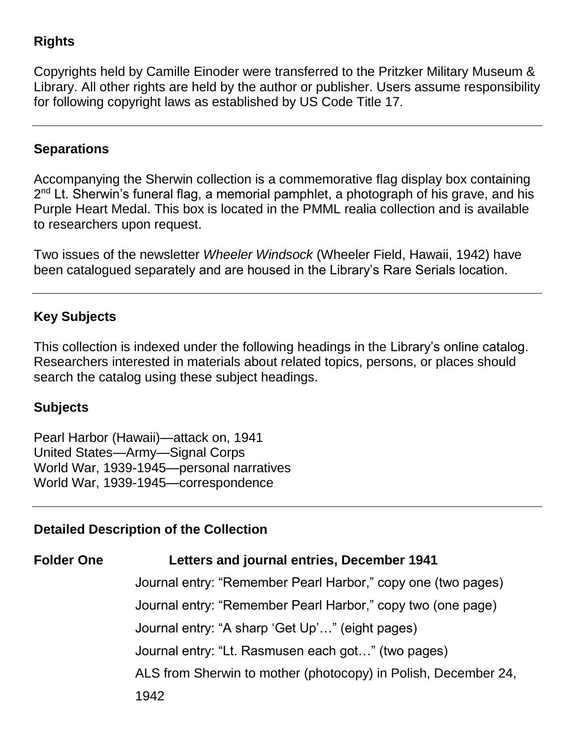### **Rights**

Copyrights held by Camille Einoder were transferred to the Pritzker Military Museum & Library. All other rights are held by the author or publisher. Users assume responsibility for following copyright laws as established by US Code Title 17.

### **Separations**

Accompanying the Sherwin collection is a commemorative flag display box containing 2<sup>nd</sup> Lt. Sherwin's funeral flag, a memorial pamphlet, a photograph of his grave, and his Purple Heart Medal. This box is located in the PMML realia collection and is available to researchers upon request.

Two issues of the newsletter *Wheeler Windsock* (Wheeler Field, Hawaii, 1942) have been catalogued separately and are housed in the Library's Rare Serials location.

### **Key Subjects**

This collection is indexed under the following headings in the Library's online catalog. Researchers interested in materials about related topics, persons, or places should search the catalog using these subject headings.

### **Subjects**

Pearl Harbor (Hawaii)—attack on, 1941 United States—Army—Signal Corps World War, 1939-1945—personal narratives World War, 1939-1945—correspondence

### **Detailed Description of the Collection**

## **Folder One Letters and journal entries, December 1941**

Journal entry: "Remember Pearl Harbor," copy one (two pages) Journal entry: "Remember Pearl Harbor," copy two (one page) Journal entry: "A sharp 'Get Up'…" (eight pages) Journal entry: "Lt. Rasmusen each got…" (two pages) ALS from Sherwin to mother (photocopy) in Polish, December 24, 1942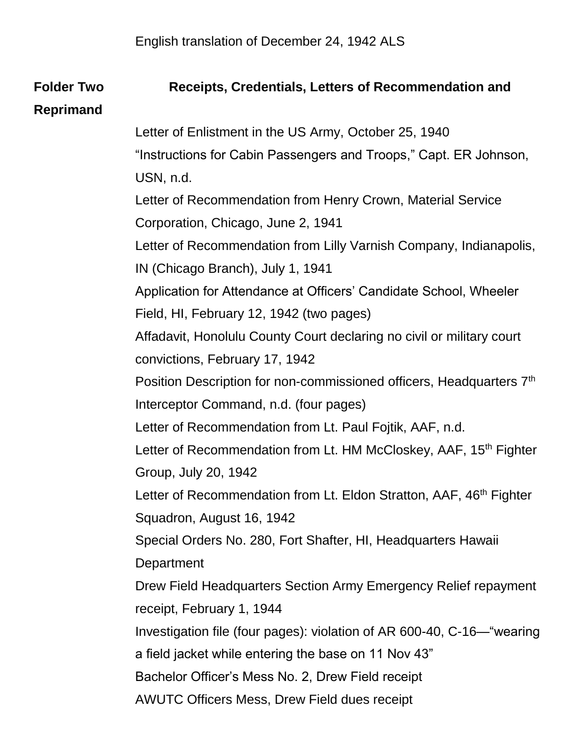### **Folder Two Receipts, Credentials, Letters of Recommendation and**

### **Reprimand**

Letter of Enlistment in the US Army, October 25, 1940

"Instructions for Cabin Passengers and Troops," Capt. ER Johnson, USN, n.d.

Letter of Recommendation from Henry Crown, Material Service Corporation, Chicago, June 2, 1941

Letter of Recommendation from Lilly Varnish Company, Indianapolis, IN (Chicago Branch), July 1, 1941

Application for Attendance at Officers' Candidate School, Wheeler Field, HI, February 12, 1942 (two pages)

Affadavit, Honolulu County Court declaring no civil or military court convictions, February 17, 1942

Position Description for non-commissioned officers, Headquarters 7<sup>th</sup> Interceptor Command, n.d. (four pages)

Letter of Recommendation from Lt. Paul Fojtik, AAF, n.d.

Letter of Recommendation from Lt. HM McCloskey, AAF, 15<sup>th</sup> Fighter Group, July 20, 1942

Letter of Recommendation from Lt. Eldon Stratton, AAF, 46<sup>th</sup> Fighter Squadron, August 16, 1942

Special Orders No. 280, Fort Shafter, HI, Headquarters Hawaii

**Department** 

Drew Field Headquarters Section Army Emergency Relief repayment receipt, February 1, 1944

Investigation file (four pages): violation of AR 600-40, C-16—"wearing

a field jacket while entering the base on 11 Nov 43"

Bachelor Officer's Mess No. 2, Drew Field receipt

AWUTC Officers Mess, Drew Field dues receipt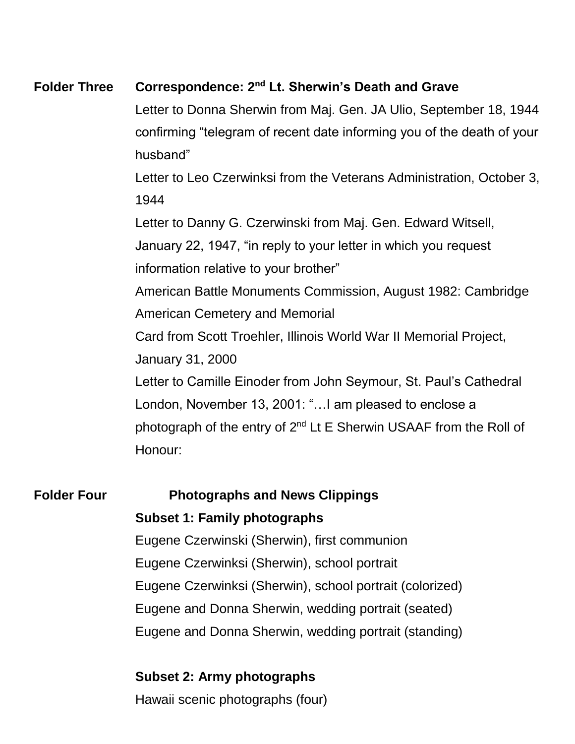### **Folder Three Correspondence: 2nd Lt. Sherwin's Death and Grave**

Letter to Donna Sherwin from Maj. Gen. JA Ulio, September 18, 1944 confirming "telegram of recent date informing you of the death of your husband"

Letter to Leo Czerwinksi from the Veterans Administration, October 3, 1944

Letter to Danny G. Czerwinski from Maj. Gen. Edward Witsell,

January 22, 1947, "in reply to your letter in which you request

information relative to your brother"

American Battle Monuments Commission, August 1982: Cambridge American Cemetery and Memorial

Card from Scott Troehler, Illinois World War II Memorial Project,

January 31, 2000

Letter to Camille Einoder from John Seymour, St. Paul's Cathedral London, November 13, 2001: "…I am pleased to enclose a photograph of the entry of 2<sup>nd</sup> Lt E Sherwin USAAF from the Roll of Honour:

### **Folder Four Photographs and News Clippings**

### **Subset 1: Family photographs**

Eugene Czerwinski (Sherwin), first communion Eugene Czerwinksi (Sherwin), school portrait Eugene Czerwinksi (Sherwin), school portrait (colorized) Eugene and Donna Sherwin, wedding portrait (seated) Eugene and Donna Sherwin, wedding portrait (standing)

### **Subset 2: Army photographs**

Hawaii scenic photographs (four)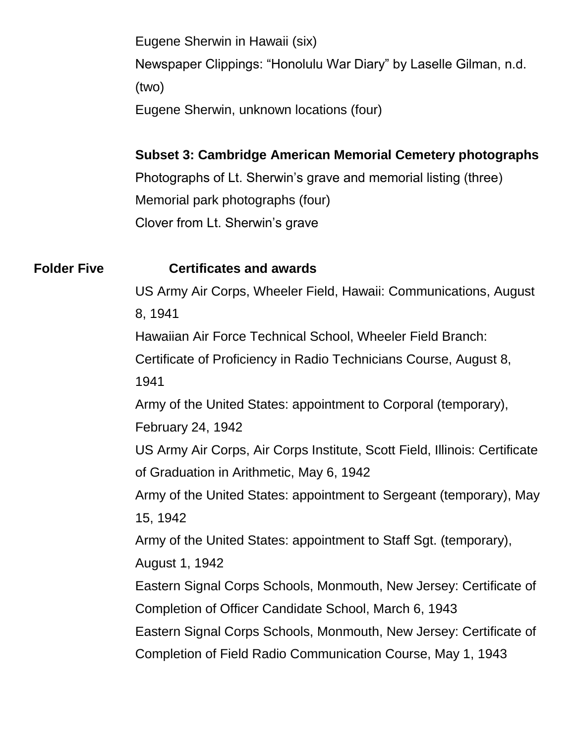Eugene Sherwin in Hawaii (six) Newspaper Clippings: "Honolulu War Diary" by Laselle Gilman, n.d. (two) Eugene Sherwin, unknown locations (four)

### **Subset 3: Cambridge American Memorial Cemetery photographs**

Photographs of Lt. Sherwin's grave and memorial listing (three) Memorial park photographs (four) Clover from Lt. Sherwin's grave

#### **Folder Five Certificates and awards**

US Army Air Corps, Wheeler Field, Hawaii: Communications, August 8, 1941

Hawaiian Air Force Technical School, Wheeler Field Branch:

Certificate of Proficiency in Radio Technicians Course, August 8,

1941

Army of the United States: appointment to Corporal (temporary),

February 24, 1942

US Army Air Corps, Air Corps Institute, Scott Field, Illinois: Certificate of Graduation in Arithmetic, May 6, 1942

Army of the United States: appointment to Sergeant (temporary), May 15, 1942

Army of the United States: appointment to Staff Sgt. (temporary),

August 1, 1942

Eastern Signal Corps Schools, Monmouth, New Jersey: Certificate of Completion of Officer Candidate School, March 6, 1943

Eastern Signal Corps Schools, Monmouth, New Jersey: Certificate of Completion of Field Radio Communication Course, May 1, 1943